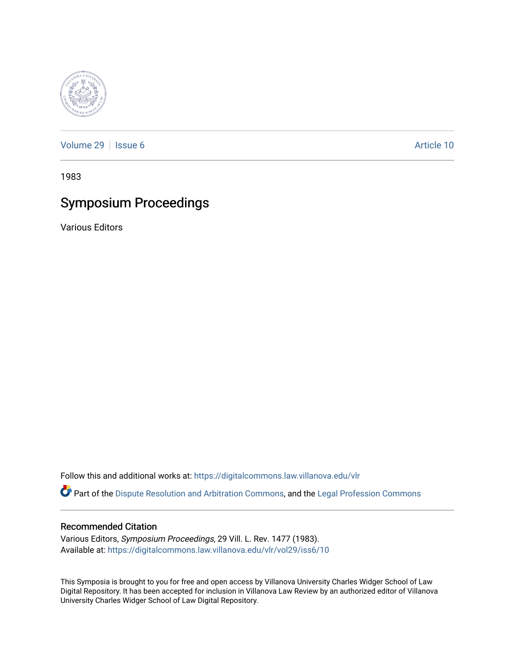

[Volume 29](https://digitalcommons.law.villanova.edu/vlr/vol29) | [Issue 6](https://digitalcommons.law.villanova.edu/vlr/vol29/iss6) Article 10

1983

# Symposium Proceedings

Various Editors

Follow this and additional works at: [https://digitalcommons.law.villanova.edu/vlr](https://digitalcommons.law.villanova.edu/vlr?utm_source=digitalcommons.law.villanova.edu%2Fvlr%2Fvol29%2Fiss6%2F10&utm_medium=PDF&utm_campaign=PDFCoverPages)

Part of the [Dispute Resolution and Arbitration Commons,](http://network.bepress.com/hgg/discipline/890?utm_source=digitalcommons.law.villanova.edu%2Fvlr%2Fvol29%2Fiss6%2F10&utm_medium=PDF&utm_campaign=PDFCoverPages) and the Legal Profession Commons

## Recommended Citation

Various Editors, Symposium Proceedings, 29 Vill. L. Rev. 1477 (1983). Available at: [https://digitalcommons.law.villanova.edu/vlr/vol29/iss6/10](https://digitalcommons.law.villanova.edu/vlr/vol29/iss6/10?utm_source=digitalcommons.law.villanova.edu%2Fvlr%2Fvol29%2Fiss6%2F10&utm_medium=PDF&utm_campaign=PDFCoverPages) 

This Symposia is brought to you for free and open access by Villanova University Charles Widger School of Law Digital Repository. It has been accepted for inclusion in Villanova Law Review by an authorized editor of Villanova University Charles Widger School of Law Digital Repository.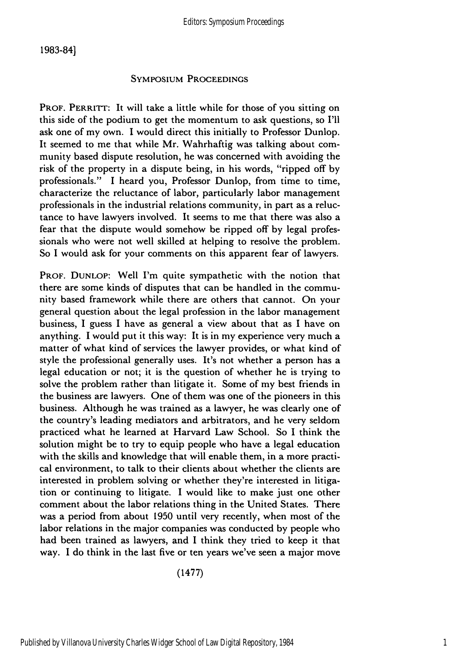## **SYMPOSIUM** PROCEEDINGS

**PROF. PERRITT:** It will take a little while for those of you sitting on this side of the podium to get the momentum to ask questions, so **I'll** ask one of my own. I would direct this initially to Professor Dunlop. It seemed to me that while Mr. Wahrhaftig was talking about community based dispute resolution, he was concerned with avoiding the risk of the property in a dispute being, in his words, "ripped off **by** professionals." I heard you, Professor Dunlop, from time to time, characterize the reluctance of labor, particularly labor management professionals in the industrial relations community, in part as a reluctance to have lawyers involved. It seems to me that there was also a fear that the dispute would somehow be ripped off **by** legal professionals who were not well skilled at helping to resolve the problem. So **I** would ask for your comments on this apparent fear of lawyers.

PROF. **DUNLOP:** Well I'm quite sympathetic with the notion that there are some kinds of disputes that can be handled in the community based framework while there are others that cannot. On your general question about the legal profession in the labor management business, **I** guess **I** have as general a view about that as **I** have on anything. **I** would put it this way: It is in my experience very much a matter of what kind of services the lawyer provides, or what kind of style the professional generally uses. It's not whether a person has a legal education or not; it is the question of whether he is trying to solve the problem rather than litigate it. Some of my best friends in the business are lawyers. One of them was one of the pioneers in this business. Although he was trained as a lawyer, he was clearly one of the country's leading mediators and arbitrators, and he very seldom practiced what he learned at Harvard Law School. So **I** think the solution might be to try to equip people who have a legal education with the skills and knowledge that will enable them, in a more practical environment, to talk to their clients about whether the clients are interested in problem solving or whether they're interested in litigation or continuing to litigate. **I** would like to make just one other comment about the labor relations thing in the United States. There was a period from about 1950 until very recently, when most of the labor relations in the major companies was conducted **by** people who had been trained as lawyers, and I think they tried to keep it that way. **I** do think in the last five or ten years we've seen a major move

(1477)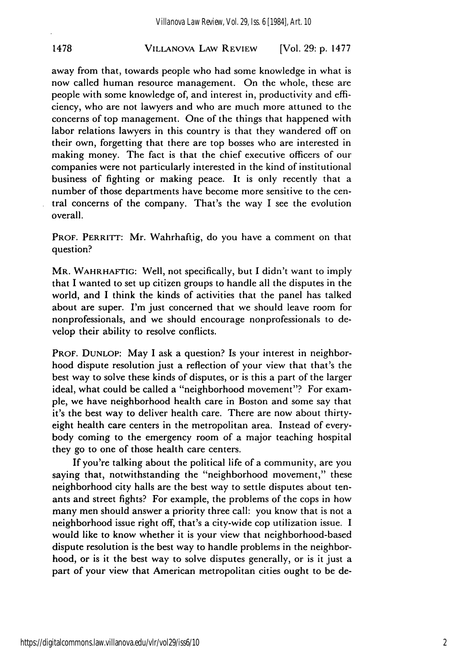#### VILLANOVA LAW REVIEW **1478** [Vol. **29: p. 1477**

away from that, towards people who had some knowledge in what is now called human resource management. On the whole, these are people with some knowledge of, and interest in, productivity and efficiency, who are not lawyers and who are much more attuned to the concerns of top management. One of the things that happened with labor relations lawyers in this country is that they wandered off on their own, forgetting that there are top bosses who are interested in making money. The fact is that the chief executive officers of our companies were not particularly interested in the kind of institutional business of fighting or making peace. It is only recently that a number of those departments have become more sensitive to the central concerns of the company. That's the way I see the evolution overall.

PROF. PERRITT: Mr. Wahrhaftig, do you have a comment on that question?

MR. WAHRHAFTIG: Well, not specifically, but I didn't want to imply that I wanted to set up citizen groups to handle all the disputes in the world, and I think the kinds of activities that the panel has talked about are super. I'm just concerned that we should leave room for nonprofessionals, and we should encourage nonprofessionals to develop their ability to resolve conflicts.

PROF. DUNLOP: May I ask a question? Is your interest in neighborhood dispute resolution just a reflection of your view that that's the best way to solve these kinds of disputes, or is this a part of the larger ideal, what could be called a "neighborhood movement"? For example, we have neighborhood health care in Boston and some say that it's the best way to deliver health care. There are now about thirtyeight health care centers in the metropolitan area. Instead of everybody coming to the emergency room of a major teaching hospital they go to one of those health care centers.

If you're talking about the political life of a community, are you saying that, notwithstanding the "neighborhood movement," these neighborhood city halls are the best way to settle disputes about tenants and street fights? For example, the problems of the cops in how many men should answer a priority three call: you know that is not a neighborhood issue right off, that's a city-wide cop utilization issue. **I** would like to know whether it is your view that neighborhood-based dispute resolution is the best way to handle problems in the neighborhood, or is it the best way to solve disputes generally, or is it just a part of your view that American metropolitan cities ought to be de-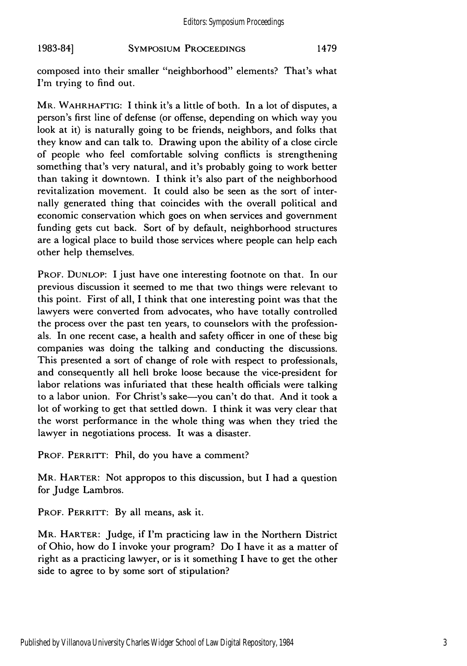# **SYMPOSIUM PROCEEDINGS 1983-84]** 1479

composed into their smaller "neighborhood" elements? That's what I'm trying to find out.

MR. WAHRHAFTIG: I think it's a little of both. In a lot of disputes, a person's first line of defense (or offense, depending on which way you look at it) is naturally going to be friends, neighbors, and folks that they know and can talk to. Drawing upon the ability of a close circle of people who feel comfortable solving conflicts is strengthening something that's very natural, and it's probably going to work better than taking it downtown. I think it's also part of the neighborhood revitalization movement. It could also be seen as the sort of internally generated thing that coincides with the overall political and economic conservation which goes on when services and government funding gets cut back. Sort of by default, neighborhood structures are a logical place to build those services where people can help each other help themselves.

PROF. **DUNLOP:** I just have one interesting footnote on that. In our previous discussion it seemed to me that two things were relevant to this point. First of all, I think that one interesting point was that the lawyers were converted from advocates, who have totally controlled the process over the past ten years, to counselors with the professionals. In one recent case, a health and safety officer in one of these big companies was doing the talking and conducting the discussions. This presented a sort of change of role with respect to professionals, and consequently all hell broke loose because the vice-president for labor relations was infuriated that these health officials were talking to a labor union. For Christ's sake-you can't do that. And it took a lot of working to get that settled down. I think it was very clear that the worst performance in the whole thing was when they tried the lawyer in negotiations process. It was a disaster.

PROF. PERRITT: Phil, do you have a comment?

MR. HARTER: Not appropos to this discussion, but I had a question for Judge Lambros.

PROF. PERRITT: By all means, ask it.

MR. HARTER: Judge, if I'm practicing law in the Northern District of Ohio, how do I invoke your program? Do I have it as a matter of right as a practicing lawyer, or is it something I have to get the other side to agree to by some sort of stipulation?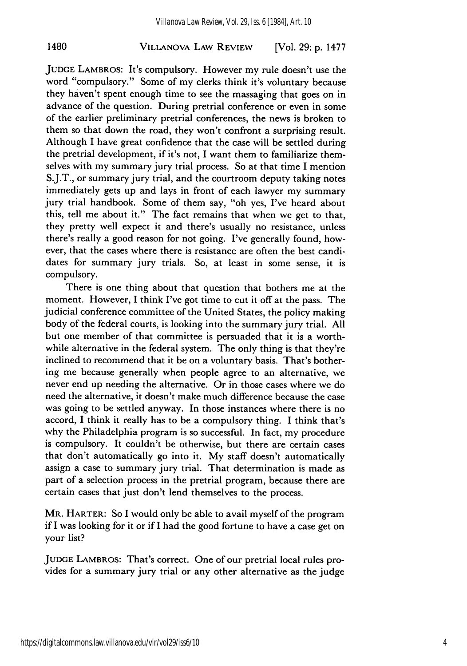# VILLANOVA **LAW** REVIEW 1480 [Vol. **29: p. 1477**

**JUDGE** LAMBROS: It's compulsory. However my rule doesn't use the word "compulsory." Some of my clerks think it's voluntary because they haven't spent enough time to see the massaging that goes on in advance of the question. During pretrial conference or even in some of the earlier preliminary pretrial conferences, the news is broken to them so that down the road, they won't confront a surprising result. Although I have great confidence that the case will be settled during the pretrial development, if it's not, I want them to familiarize themselves with my summary jury trial process. So at that time I mention S.J.T., or summary jury trial, and the courtroom deputy taking notes immediately gets up and lays in front of each lawyer my summary jury trial handbook. Some of them say, "oh yes, I've heard about this, tell me about it." The fact remains that when we get to that, they pretty well expect it and there's usually no resistance, unless there's really a good reason for not going. I've generally found, however, that the cases where there is resistance are often the best candidates for summary jury trials. So, at least in some sense, it is compulsory.

There is one thing about that question that bothers me at the moment. However, I think I've got time to cut it off at the pass. The judicial conference committee of the United States, the policy making body of the federal courts, is looking into the summary jury trial. All but one member of that committee is persuaded that it is a worthwhile alternative in the federal system. The only thing is that they're inclined to recommend that it be on a voluntary basis. That's bothering me because generally when people agree to an alternative, we never end up needing the alternative. Or in those cases where we do need the alternative, it doesn't make much difference because the case was going to be settled anyway. In those instances where there is no accord, I think it really has to be a compulsory thing. I think that's why the Philadelphia program is so successful. In fact, my procedure is compulsory. It couldn't be otherwise, but there are certain cases that don't automatically go into it. My staff doesn't automatically assign a case to summary jury trial. That determination is made as part of a selection process in the pretrial program, because there are certain cases that just don't lend themselves to the process.

MR. HARTER: So I would only be able to avail myself of the program if I was looking for it or if I had the good fortune to have a case get on your list?

**JUDGE** LAMBROS: That's correct. One of our pretrial local rules provides for a summary jury trial or any other alternative as the judge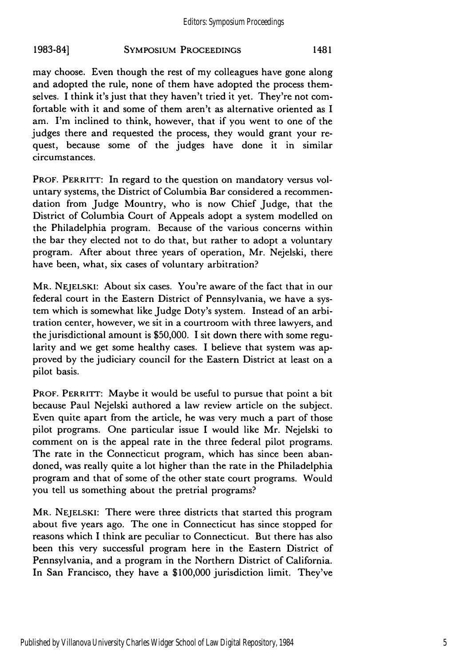# **SYMPOSIUM PROCEEDINGS 1983-84]** 1481

may choose. Even though the rest of my colleagues have gone along and adopted the rule, none of them have adopted the process themselves. I think it's just that they haven't tried it yet. They're not comfortable with it and some of them aren't as alternative oriented as I am. I'm inclined to think, however, that if you went to one of the judges there and requested the process, they would grant your request, because some of the judges have done it in similar circumstances.

PROF. PERRITT: In regard to the question on mandatory versus voluntary systems, the District of Columbia Bar considered a recommendation from Judge Mountry, who is now Chief Judge, that the District of Columbia Court of Appeals adopt a system modelled on the Philadelphia program. Because of the various concerns within the bar they elected not to do that, but rather to adopt a voluntary program. After about three years of operation, Mr. Nejelski, there have been, what, six cases of voluntary arbitration?

MR. **NEJELSKI:** About six cases. You're aware of the fact that in our federal court in the Eastern District of Pennsylvania, we have a system which is somewhat like Judge Doty's system. Instead of an arbitration center, however, we sit in a courtroom with three lawyers, and the jurisdictional amount is \$50,000. I sit down there with some regularity and we get some healthy cases. I believe that system was approved by the judiciary council for the Eastern District at least on a pilot basis.

PROF. PERRITT: Maybe it would be useful to pursue that point a bit because Paul Nejelski authored a law review article on the subject. Even quite apart from the article, he was very much a part of those pilot programs. One particular issue I would like Mr. Nejelski to comment on is the appeal rate in the three federal pilot programs. The rate in the Connecticut program, which has since been abandoned, was really quite a lot higher than the rate in the Philadelphia program and that of some of the other state court programs. Would you tell us something about the pretrial programs?

MR. **NEJELSKI:** There were three districts that started this program about five years ago. The one in Connecticut has since stopped for reasons which I think are peculiar to Connecticut. But there has also been this very successful program here in the Eastern District of Pennsylvania, and a program in the Northern District of California. In San Francisco, they have a \$100,000 jurisdiction limit. They've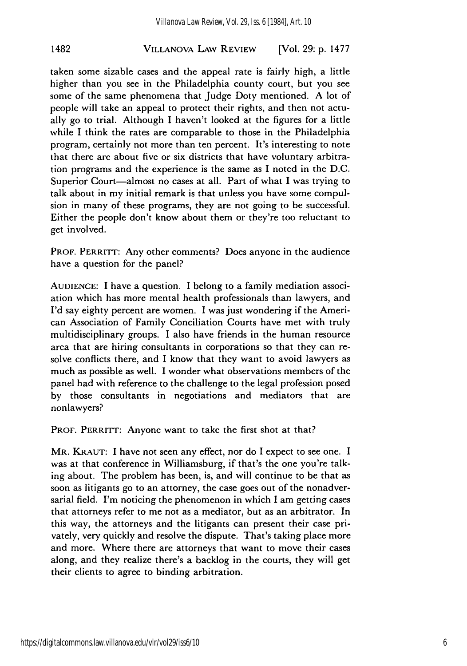# VILLANOVA LAW REVIEW 1482 [Vol. **29: p. 1477**

taken some sizable cases and the appeal rate is fairly high, a little higher than you see in the Philadelphia county court, but you see some of the same phenomena that Judge Doty mentioned. A lot of people will take an appeal to protect their rights, and then not actually go to trial. Although I haven't looked at the figures for a little while I think the rates are comparable to those in the Philadelphia program, certainly not more than ten percent. It's interesting to note that there are about five or six districts that have voluntary arbitration programs and the experience is the same as I noted in the D.C. Superior Court-almost no cases at all. Part of what I was trying to talk about in my initial remark is that unless you have some compulsion in many of these programs, they are not going to be successful. Either the people don't know about them or they're too reluctant to get involved.

PROF. PERRITT: Any other comments? Does anyone in the audience have a question for the panel?

AUDIENCE: I have a question. I belong to a family mediation association which has more mental health professionals than lawyers, and I'd say eighty percent are women. I was just wondering if the American Association of Family Conciliation Courts have met with truly multidisciplinary groups. I also have friends in the human resource area that are hiring consultants in corporations so that they can resolve conflicts there, and I know that they want to avoid lawyers as much as possible as well. I wonder what observations members of the panel had with reference to the challenge to the legal profession posed by those consultants in negotiations and mediators that are nonlawyers?

PROF. PERRITT: Anyone want to take the first shot at that?

MR. KRAUT: I have not seen any effect, nor do I expect to see one. I was at that conference in Williamsburg, if that's the one you're talking about. The problem has been, is, and will continue to be that as soon as litigants go to an attorney, the case goes out of the nonadversarial field. I'm noticing the phenomenon in which I am getting cases that attorneys refer to me not as a mediator, but as an arbitrator. In this way, the attorneys and the litigants can present their case privately, very quickly and resolve the dispute. That's taking place more and more. Where there are attorneys that want to move their cases along, and they realize there's a backlog in the courts, they will get their clients to agree to binding arbitration.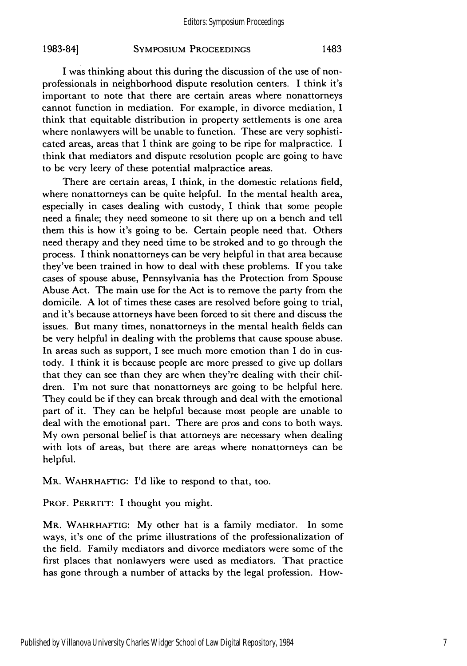# **SYMPOSIUM** PROCEEDINGS **1983-84]** 1483

I was thinking about this during the discussion of the use of nonprofessionals in neighborhood dispute resolution centers. I think it's important to note that there are certain areas where nonattorneys cannot function in mediation. For example, in divorce mediation, I think that equitable distribution in property settlements is one area where nonlawyers will be unable to function. These are very sophisticated areas, areas that I think are going to be ripe for malpractice. I think that mediators and dispute resolution people are going to have to be very leery of these potential malpractice areas.

There are certain areas, I think, in the domestic relations field, where nonattorneys can be quite helpful. In the mental health area, especially in cases dealing with custody, I think that some people need a finale; they need someone to sit there up on a bench and tell them this is how it's going to be. Certain people need that. Others need therapy and they need time to be stroked and to go through the process. I think nonattorneys can be very helpful in that area because they've been trained in how to deal with these problems. If you take cases of spouse abuse, Pennsylvania has the Protection from Spouse Abuse Act. The main use for the Act is to remove the party from the domicile. A lot of times these cases are resolved before going to trial, and it's because attorneys have been forced to sit there and discuss the issues. But many times, nonattorneys in the mental health fields can be very helpful in dealing with the problems that cause spouse abuse. In areas such as support, I see much more emotion than I do in custody. I think it is because people are more pressed to give up dollars that they can see than they are when they're dealing with their children. I'm not sure that nonattorneys are going to be helpful here. They could be if they can break through and deal with the emotional part of it. They can be helpful because most people are unable to deal with the emotional part. There are pros and cons to both ways. My own personal belief is that attorneys are necessary when dealing with lots of areas, but there are areas where nonattorneys can be helpful.

MR. WAHRHAFTIG: I'd like to respond to that, too.

PROF. PERRITT: I thought you might.

MR. WAHRHAFTIG: My other hat is a family mediator. In some ways, it's one of the prime illustrations of the professionalization of the field. Family mediators and divorce mediators were some of the first places that nonlawyers were used as mediators. That practice has gone through a number of attacks by the legal profession. How-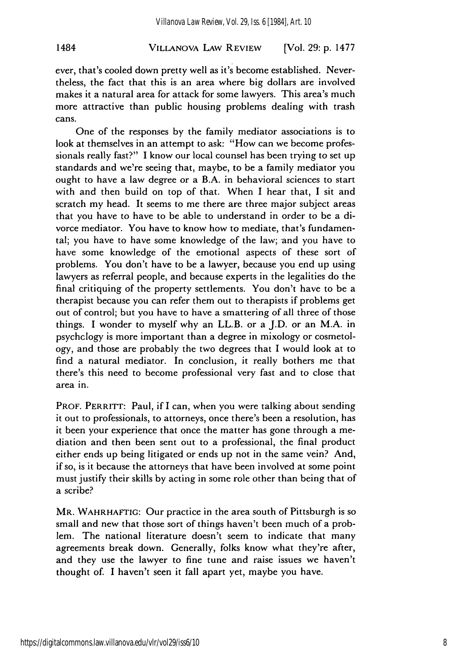# VILLANOVA LAW REVIEW 1484 [Vol. **29: p. 1477**

ever, that's cooled down pretty well as it's become established. Nevertheless, the fact that this is an area where big dollars are involved makes it a natural area for attack for some lawyers. This area's much more attractive than public housing problems dealing with trash cans.

One of the responses by the family mediator associations is to look at themselves in an attempt to ask: "How can we become professionals really fast?" I know our local counsel has been trying to set up standards and we're seeing that, maybe, to be a family mediator you ought to have a law degree or a B.A. in behavioral sciences to start with and then build on top of that. When I hear that, I sit and scratch my head. It seems to me there are three major subject areas that you have to have to be able to understand in order to be a divorce mediator. You have to know how to mediate, that's fundamental; you have to have some knowledge of the law; and you have to have some knowledge of the emotional aspects of these sort of problems. You don't have to be a lawyer, because you end up using lawyers as referral people, and because experts in the legalities do the final critiquing of the property settlements. You don't have to be a therapist because you can refer them out to therapists if problems get out of control; but you have to have a smattering of all three of those things. I wonder to myself why an LL.B. or a J.D. or an M.A. in psychclogy is more important than a degree in mixology or cosmetology, and those are probably the two degrees that I would look at to find a natural mediator. In conclusion, it really bothers me that there's this need to become professional very fast and to close that area in.

PROF. PERRITT: Paul, if I can, when you were talking about sending it out to professionals, to attorneys, once there's been a resolution, has it been your experience that once the matter has gone through a mediation and then been sent out to a professional, the final product either ends up being litigated or ends up not in the same vein? And, if so, is it because the attorneys that have been involved at some point must justify their skills by acting in some role other than being that of a scribe?

MR. WAHRHAFTIG: Our practice in the area south of Pittsburgh is so small and new that those sort of things haven't been much of a problem. The national literature doesn't seem to indicate that many agreements break down. Generally, folks know what they're after, and they use the lawyer to fine tune and raise issues we haven't thought of. I haven't seen it fall apart yet, maybe you have.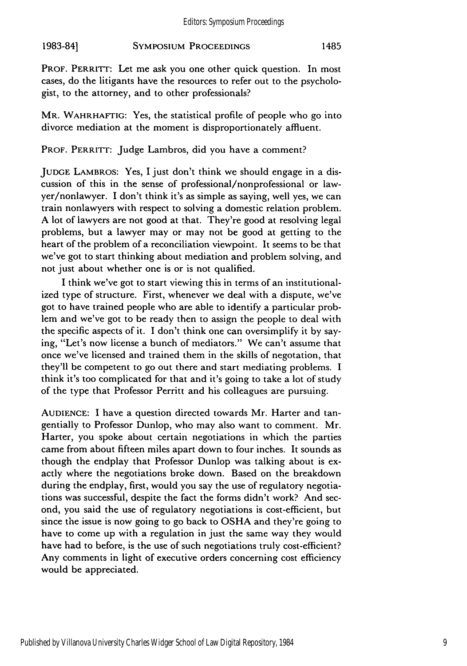#### **SYMPOSIUM PROCEEDINGS 1983-841** 1485

PROF. PERRITT: Let me ask you one other quick question. In most cases, do the litigants have the resources to refer out to the psychologist, to the attorney, and to other professionals?

MR. WAHRHAFTIG: Yes, the statistical profile of people who go into divorce mediation at the moment is disproportionately affluent.

PROF. PERRITT: Judge Lambros, did you have a comment?

**JUDGE** LAMBROS: Yes, I just don't think we should engage in a discussion of this in the sense of professional/nonprofessional or lawyer/nonlawyer. I don't think it's as simple as saying, well yes, we can train nonlawyers with respect to solving a domestic relation problem. A lot of lawyers are not good at that. They're good at resolving legal problems, but a lawyer may or may not be good at getting to the heart of the problem of a reconciliation viewpoint. It seems to be that we've got to start thinking about mediation and problem solving, and not just about whether one is or is not qualified.

I think we've got to start viewing this in terms of an institutionalized type of structure. First, whenever we deal with a dispute, we've got to have trained people who are able to identify a particular problem and we've got to be ready then to assign the people to deal with the specific aspects of it. I don't think one can oversimplify it by saying, "Let's now license a bunch of mediators." We can't assume that once we've licensed and trained them in the skills of negotation, that they'll be competent to go out there and start mediating problems. I think it's too complicated for that and it's going to take a lot of study of the type that Professor Perritt and his colleagues are pursuing.

**AUDIENCE:** I have a question directed towards Mr. Harter and tangentially to Professor Dunlop, who may also want to comment. Mr. Harter, you spoke about certain negotiations in which the parties came from about fifteen miles apart down to four inches. It sounds as though the endplay that Professor Dunlop was talking about is exactly where the negotiations broke down. Based on the breakdown during the endplay, first, would you say the use of regulatory negotiations was successful, despite the fact the forms didn't work? And second, you said the use of regulatory negotiations is cost-efficient, but since the issue is now going to go back to OSHA and they're going to have to come up with a regulation in just the same way they would have had to before, is the use of such negotiations truly cost-efficient? Any comments in light of executive orders concerning cost efficiency would be appreciated.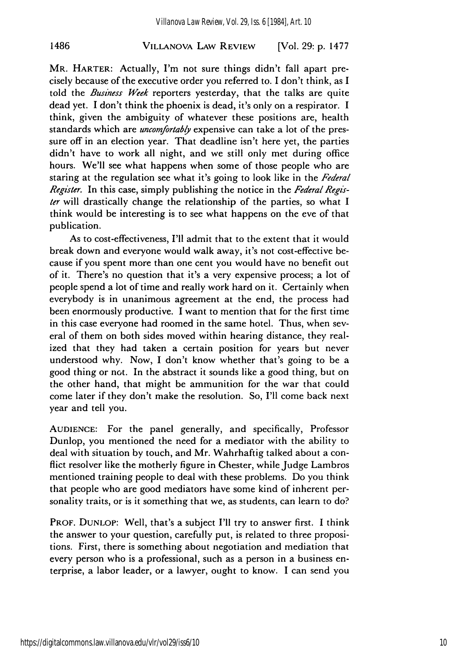#### VILLANOVA **LAW** REVIEW 1486 [Vol. **29: p. 1477**

MR. HARTER: Actually, I'm not sure things didn't fall apart precisely because of the executive order you referred to. I don't think, as I told the *Business Week* reporters yesterday, that the talks are quite dead yet. I don't think the phoenix is dead, it's only on a respirator. I think, given the ambiguity of whatever these positions are, health standards which are *uncomfortably* expensive can take a lot of the pressure off in an election year. That deadline isn't here yet, the parties didn't have to work all night, and we still only met during office hours. We'll see what happens when some of those people who are staring at the regulation see what it's going to look like in the *Federal Register.* In this case, simply publishing the notice in the *Federal Register* will drastically change the relationship of the parties, so what I think would be interesting is to see what happens on the eve of that publication.

As to cost-effectiveness, I'll admit that to the extent that it would break down and everyone would walk away, it's not cost-effective because if you spent more than one cent you would have no benefit out of it. There's no question that it's a very expensive process; a lot of people spend a lot of time and really work hard on it. Certainly when everybody is in unanimous agreement at the end, the process had been enormously productive. I want to mention that for the first time in this case everyone had roomed in the same hotel. Thus, when several of them on both sides moved within hearing distance, they realized that they had taken a certain position for years but never understood why. Now, I don't know whether that's going to be a good thing or not. In the abstract it sounds like a good thing, but on the other hand, that might be ammunition for the war that could come later if they don't make the resolution. So, I'll come back next year and tell you.

**AUDIENCE:** For the panel generally, and specifically, Professor Dunlop, you mentioned the need for a mediator with the ability to deal with situation by touch, and Mr. Wahrhaftig talked about a conflict resolver like the motherly figure in Chester, while Judge Lambros mentioned training people to deal with these problems. Do you think that people who are good mediators have some kind of inherent personality traits, or is it something that we, as students, can learn to do?

PROF. **DUNLOP:** Well, that's a subject I'll try to answer first. I think the answer to your question, carefully put, is related to three propositions. First, there is something about negotiation and mediation that every person who is a professional, such as a person in a business enterprise, a labor leader, or a lawyer, ought to know. I can send you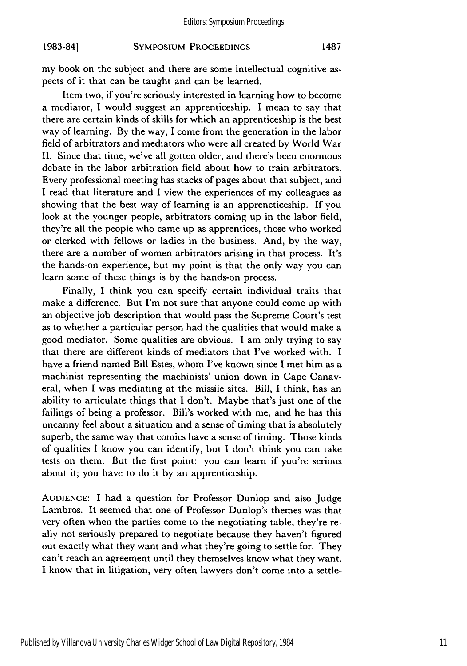#### **SYMPOSIUM PROCEEDINGS 1983-841 1487**

my book on the subject and there are some intellectual cognitive aspects of it that can be taught and can be learned.

Item two, if you're seriously interested in learning how to become a mediator, I would suggest an apprenticeship. I mean to say that there are certain kinds of skills for which an apprenticeship is the best way of learning. By the way, I come from the generation in the labor field of arbitrators and mediators who were all created by World War II. Since that time, we've all gotten older, and there's been enormous debate in the labor arbitration field about how to train arbitrators. Every professional meeting has stacks of pages about that subject, and I read that literature and I view the experiences of my colleagues as showing that the best way of learning is an apprencticeship. If you look at the younger people, arbitrators coming up in the labor field, they're all the people who came up as apprentices, those who worked or clerked with fellows or ladies in the business. And, by the way, there are a number of women arbitrators arising in that process. It's the hands-on experience, but my point is that the only way you can learn some of these things is by the hands-on process.

Finally, I think you can specify certain individual traits that make a difference. But I'm not sure that anyone could come up with an objective job description that would pass the Supreme Court's test as to whether a particular person had the qualities that would make a good mediator. Some qualities are obvious. I am only trying to say that there are different kinds of mediators that I've worked with. I have a friend named Bill Estes, whom I've known since I met him as a machinist representing the machinists' union down in Cape Canaveral, when I was mediating at the missile sites. Bill, I think, has an ability to articulate things that I don't. Maybe that's just one of the failings of being a professor. Bill's worked with me, and he has this uncanny feel about a situation and a sense of timing that is absolutely superb, the same way that comics have a sense of timing. Those kinds of qualities I know you can identify, but I don't think you can take tests on them. But the first point: you can learn if you're serious about it; you have to do it by an apprenticeship.

**AUDIENCE:** I had a question for Professor Dunlop and also Judge Lambros. It seemed that one of Professor Dunlop's themes was that very often when the parties come to the negotiating table, they're really not seriously prepared to negotiate because they haven't figured out exactly what they want and what they're going to settle for. They can't reach an agreement until they themselves know what they want. I know that in litigation, very often lawyers don't come into a settle-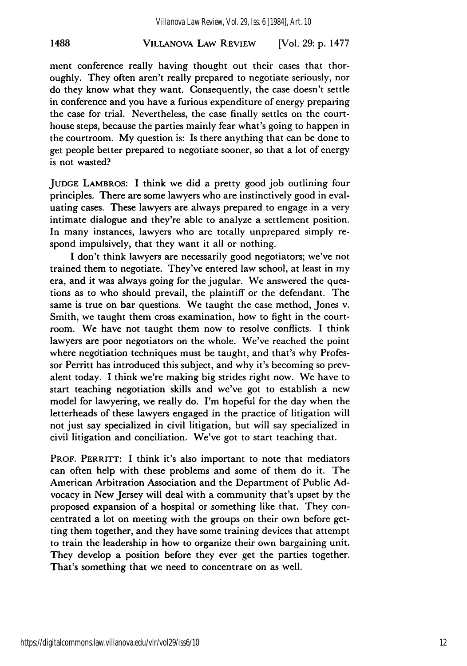#### VILLANOVA LAW REVIEW **1488** [Vol. **29: p. 1477**

ment conference really having thought out their cases that thoroughly. They often aren't really prepared to negotiate seriously, nor do they know what they want. Consequently, the case doesn't settle in conference and you have a furious expenditure of energy preparing the case for trial. Nevertheless, the case finally settles on the courthouse steps, because the parties mainly fear what's going to happen in the courtroom. My question is: Is there anything that can be done to get people better prepared to negotiate sooner, so that a lot of energy is not wasted?

**JUDGE** LAMBROS: I think we did a pretty good job outlining four principles. There are some lawyers who are instinctively good in evaluating cases. These lawyers are always prepared to engage in a very intimate dialogue and they're able to analyze a settlement position. In many instances, lawyers who are totally unprepared simply respond impulsively, that they want it all or nothing.

I don't think lawyers are necessarily good negotiators; we've not trained them to negotiate. They've entered law school, at least in my era, and it was always going for the jugular. We answered the questions as to who should prevail, the plaintiff or the defendant. The same is true on bar questions. We taught the case method, Jones v. Smith, we taught them cross examination, how to fight in the courtroom. We have not taught them now to resolve conflicts. I think lawyers are poor negotiators on the whole. We've reached the point where negotiation techniques must be taught, and that's why Professor Perritt has introduced this subject, and why it's becoming so prevalent today. I think we're making big strides right now. We have to start teaching negotiation skills and we've got to establish a new model for lawyering, we really do. I'm hopeful for the day when the letterheads of these lawyers engaged in the practice of litigation will not just say specialized in civil litigation, but will say specialized in civil litigation and conciliation. We've got to start teaching that.

**PROF. PERRITT:** I think it's also important to note that mediators can often help with these problems and some of them do it. The American Arbitration Association and the Department of Public **Ad**vocacy in New Jersey will deal with a community that's upset by the proposed expansion of a hospital or something like that. They concentrated a lot on meeting with the groups on their own before getting them together, and they have some training devices that attempt to train the leadership in how to organize their own bargaining unit. They develop a position before they ever get the parties together. That's something that we need to concentrate on as well.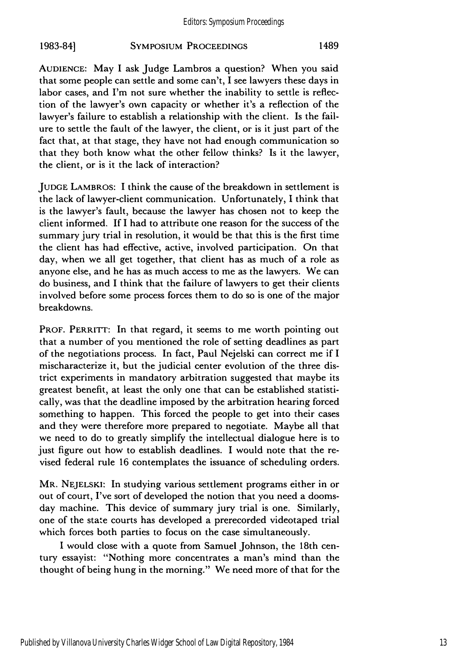## SYMPOSIUM PROCEEDINGS **1983-841** 1489

**AUDIENCE:** May I ask Judge Lambros a question? When you said that some people can settle and some can't, I see lawyers these days in labor cases, and I'm not sure whether the inability to settle is reflection of the lawyer's own capacity or whether it's a reflection of the lawyer's failure to establish a relationship with the client. Is the failure to settle the fault of the lawyer, the client, or is it just part of the fact that, at that stage, they have not had enough communication so that they both know what the other fellow thinks? Is it the lawyer, the client, or is it the lack of interaction?

**JUDGE** LAMBROS: I think the cause of the breakdown in settlement is the lack of lawyer-client communication. Unfortunately, I think that is the lawyer's fault, because the lawyer has chosen not to keep the client informed. If I had to attribute one reason for the success of the summary jury trial in resolution, it would be that this is the first time the client has had effective, active, involved participation. On that day, when we all get together, that client has as much of a role as anyone else, and he has as much access to me as the lawyers. We can do business, and I think that the failure of lawyers to get their clients involved before some process forces them to do so is one of the major breakdowns.

**PROF. PERRITT:** In that regard, it seems to me worth pointing out that a number of you mentioned the role of setting deadlines as part of the negotiations process. In fact, Paul Nejelski can correct me if I mischaracterize it, but the judicial center evolution of the three district experiments in mandatory arbitration suggested that maybe its greatest benefit, at least the only one that can be established statistically, was that the deadline imposed **by** the arbitration hearing forced something to happen. This forced the people to get into their cases and they were therefore more prepared to negotiate. Maybe all that we need to do to greatly simplify the intellectual dialogue here is to just figure out how to establish deadlines. I would note that the revised federal rule 16 contemplates the issuance of scheduling orders.

MR. NEJELSKI: In studying various settlement programs either in or out of court, I've sort of developed the notion that you need a doomsday machine. This device of summary jury trial is one. Similarly, one of the state courts has developed a prerecorded videotaped trial which forces both parties to focus on the case simultaneously.

I would close with a quote from Samuel Johnson, the 18th century essayist: "Nothing more concentrates a man's mind than the thought of being hung in the morning." We need more of that for the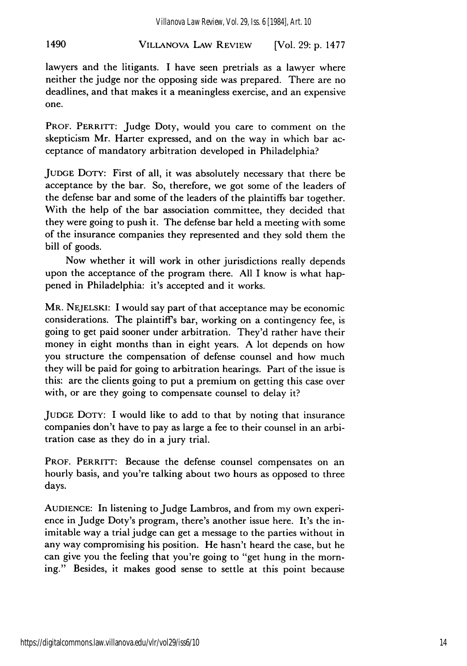# VILLANOVA LAW REVIEW 1490 [Vol. **29: p. 1477**

lawyers and the litigants. I have seen pretrials as a lawyer where neither the judge nor the opposing side was prepared. There are no deadlines, and that makes it a meaningless exercise, and an expensive one.

PROF. PERRITT: Judge Doty, would you care to comment on the skepticism Mr. Harter expressed, and on the way in which bar acceptance of mandatory arbitration developed in Philadelphia?

JUDGE DOTY: First of all, it was absolutely necessary that there be acceptance by the bar. So, therefore, we got some of the leaders of the defense bar and some of the leaders of the plaintiffs bar together. With the help of the bar association committee, they decided that they were going to push it. The defense bar held a meeting with some of the insurance companies they represented and they sold them the bill of goods.

Now whether it will work in other jurisdictions really depends upon the acceptance of the program there. All I know is what happened in Philadelphia: it's accepted and it works.

MR. NEJELSKI: I would say part of that acceptance may be economic considerations. The plaintiffs bar, working on a contingency fee, is going to get paid sooner under arbitration. They'd rather have their money in eight months than in eight years. A lot depends on how you structure the compensation of defense counsel and how much they will be paid for going to arbitration hearings. Part of the issue is this: are the clients going to put a premium on getting this case over with, or are they going to compensate counsel to delay it?

JUDGE DOTY: I would like to add to that by noting that insurance companies don't have to pay as large a fee to their counsel in an arbitration case as they do in a jury trial.

PROF. PERRITT: Because the defense counsel compensates on an hourly basis, and you're talking about two hours as opposed to three days.

AUDIENCE: In listening to Judge Lambros, and from my own experience in Judge Doty's program, there's another issue here. It's the inimitable way a trial judge can get a message to the parties without in any way compromising his position. He hasn't heard the case, but he can give you the feeling that you're going to "get hung in the morning." Besides, it makes good sense to settle at this point because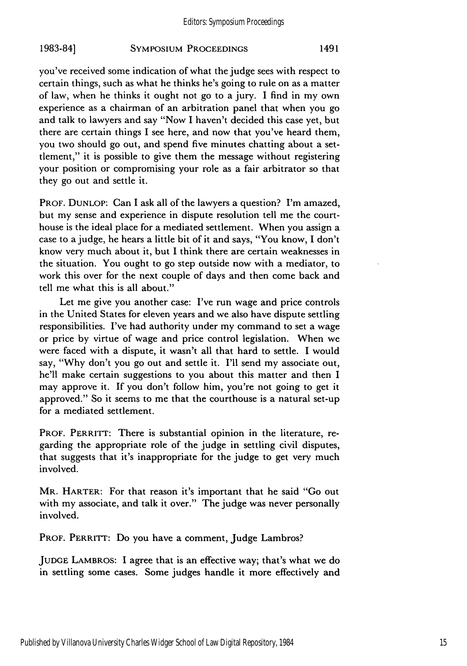#### Editors: Symposium Proceedings

#### **SYMPOSIUM PROCEEDINGS 1983-84]** 1491

you've received some indication of what the judge sees with respect to certain things, such as what he thinks he's going to rule on as a matter of law, when he thinks it ought not go to a jury. I find in my own experience as a chairman of an arbitration panel that when you go and talk to lawyers and say "Now I haven't decided this case yet, but there are certain things I see here, and now that you've heard them, you two should go out, and spend five minutes chatting about a settlement," it is possible to give them the message without registering your position or compromising your role as a fair arbitrator so that they go out and settle it.

PROF. **DUNLOP:** Can I ask all of the lawyers a question? I'm amazed, but my sense and experience in dispute resolution tell me the courthouse is the ideal place for a mediated settlement. When you assign a case to a judge, he hears a little bit of it and says, "You know, I don't know very much about it, but I think there are certain weaknesses in the situation. You ought to go step outside now with a mediator, to work this over for the next couple of days and then come back and tell me what this is all about."

Let me give you another case: I've run wage and price controls in the United States for eleven years and we also have dispute settling responsibilities. I've had authority under my command to set a wage or price by virtue of wage and price control legislation. When we were faced with a dispute, it wasn't all that hard to settle. I would say, "Why don't you go out and settle it. I'll send my associate out, he'll make certain suggestions to you about this matter and then I may approve it. If you don't follow him, you're not going to get it approved." So it seems to me that the courthouse is a natural set-up for a mediated settlement.

PROF. PERRITT: There is substantial opinion in the literature, regarding the appropriate role of the judge in settling civil disputes, that suggests that it's inappropriate for the judge to get very much involved.

MR. **HARTER:** For that reason it's important that he said "Go out with my associate, and talk it over." The judge was never personally involved.

PROF. PERRITT: Do you have a comment, Judge Lambros?

**JUDGE** LAMBROS: I agree that is an effective way; that's what we do in settling some cases. Some judges handle it more effectively and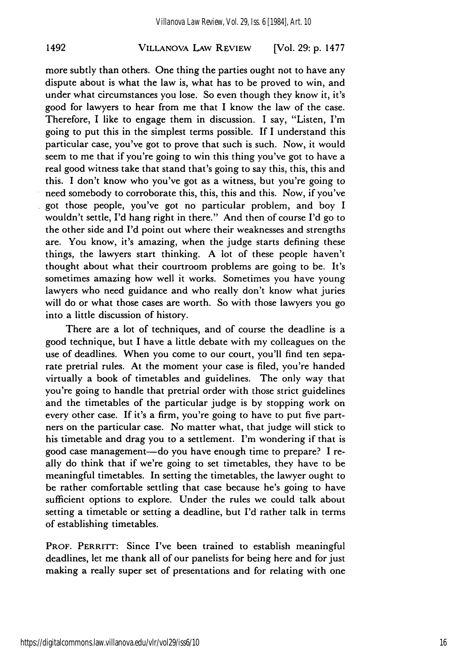#### VILLANOVA LAW REVIEW 1492 [Vol. **29: p. 1477**

more subtly than others. One thing the parties ought not to have any dispute about is what the law is, what has to be proved to win, and under what circumstances you lose. So even though they know it, it's good for lawyers to hear from me that I know the law of the case. Therefore, I like to engage them in discussion. I say, "Listen, I'm going to put this in the simplest terms possible. If I understand this particular case, you've got to prove that such is such. Now, it would seem to me that if you're going to win this thing you've got to have a real good witness take that stand that's going to say this, this, this and this. I don't know who you've got as a witness, but you're going to need somebody to corroborate this, this, this and this. Now, if you've got those people, you've got no particular problem, and boy I wouldn't settle, I'd hang right in there." And then of course I'd go to the other side and I'd point out where their weaknesses and strengths are. You know, it's amazing, when the judge starts defining these things, the lawyers start thinking. A lot of these people haven't thought about what their courtroom problems are going to be. It's sometimes amazing how well it works. Sometimes you have young lawyers who need guidance and who really don't know what juries will do or what those cases are worth. So with those lawyers you go into a little discussion of history.

There are a lot of techniques, and of course the deadline is a good technique, but I have a little debate with my colleagues on the use of deadlines. When you come to our court, you'll find ten separate pretrial rules. At the moment your case is filed, you're handed virtually a book of timetables and guidelines. The only way that you're going to handle that pretrial order with those strict guidelines and the timetables of the particular judge is by stopping work on every other case. If it's a firm, you're going to have to put five partners on the particular case. No matter what, that judge will stick to his timetable and drag you to a settlement. I'm wondering if that is good case management-do you have enough time to prepare? I really do think that if we're going to set timetables, they have to be meaningful timetables. In setting the timetables, the lawyer ought to be rather comfortable settling that case because he's going to have sufficient options to explore. Under the rules we could talk about setting a timetable or setting a deadline, but I'd rather talk in terms of establishing timetables.

PROF. PERRITT: Since I've been trained to establish meaningful deadlines, let me thank all of our panelists for being here and for just making a really super set of presentations and for relating with one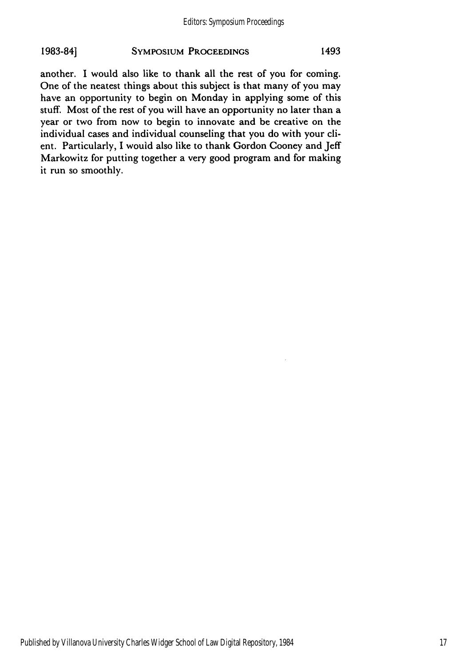## 1983-84] SYMPOSIUM PROCEEDINGS 1493

another. I would also like to thank all the rest of you for coming. One of the neatest things about this subject is that many of you may have an opportunity to begin on Monday in applying some of this stuff. Most of the rest of you will have an opportunity no later than a year or two from now to begin to innovate and be creative on the individual cases and individual counseling that you do with your client. Particularly, I would also like to thank Gordon Cooney and Jeff Markowitz for putting together a very good program and for making it run so smoothly.